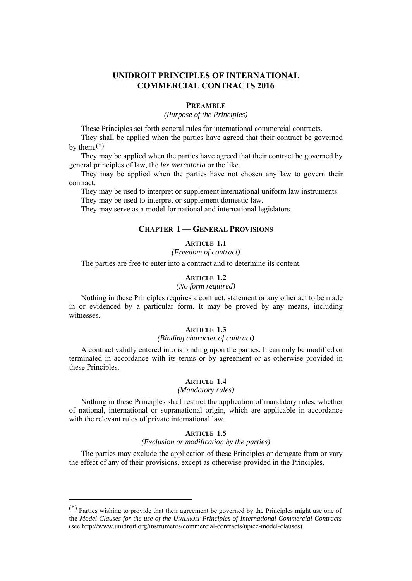# **UNIDROIT PRINCIPLES OF INTERNATIONAL COMMERCIAL CONTRACTS 2016**

# **PREAMBLE**

*(Purpose of the Principles)* 

These Principles set forth general rules for international commercial contracts.

They shall be applied when the parties have agreed that their contract be governed by them.(\*)

They may be applied when the parties have agreed that their contract be governed by general principles of law, the *lex mercatoria* or the like.

They may be applied when the parties have not chosen any law to govern their contract.

They may be used to interpret or supplement international uniform law instruments. They may be used to interpret or supplement domestic law.

They may serve as a model for national and international legislators.

## **CHAPTER 1 — GENERAL PROVISIONS**

## **ARTICLE 1.1**

### *(Freedom of contract)*

The parties are free to enter into a contract and to determine its content.

# **ARTICLE 1.2**

#### *(No form required)*

Nothing in these Principles requires a contract, statement or any other act to be made in or evidenced by a particular form. It may be proved by any means, including witnesses.

### **ARTICLE 1.3**

#### *(Binding character of contract)*

A contract validly entered into is binding upon the parties. It can only be modified or terminated in accordance with its terms or by agreement or as otherwise provided in these Principles.

### **ARTICLE 1.4**

## *(Mandatory rules)*

Nothing in these Principles shall restrict the application of mandatory rules, whether of national, international or supranational origin, which are applicable in accordance with the relevant rules of private international law.

### **ARTICLE 1.5**

# *(Exclusion or modification by the parties)*

The parties may exclude the application of these Principles or derogate from or vary the effect of any of their provisions, except as otherwise provided in the Principles.

i

<sup>(\*)</sup> Parties wishing to provide that their agreement be governed by the Principles might use one of the *Model Clauses for the use of the UNIDROIT Principles of International Commercial Contracts*  (see http://www.unidroit.org/instruments/commercial-contracts/upicc-model-clauses).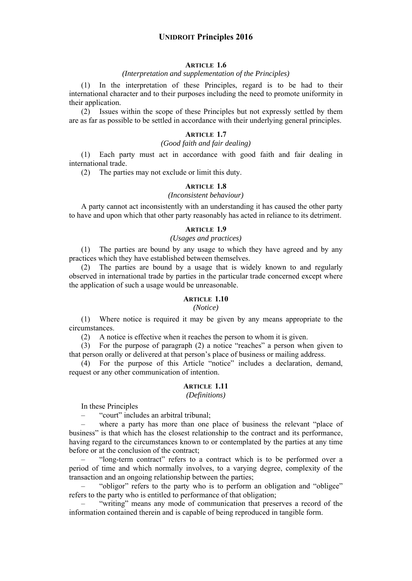# **ARTICLE 1.6**

### *(Interpretation and supplementation of the Principles)*

(1) In the interpretation of these Principles, regard is to be had to their international character and to their purposes including the need to promote uniformity in their application.

(2) Issues within the scope of these Principles but not expressly settled by them are as far as possible to be settled in accordance with their underlying general principles.

# **ARTICLE 1.7**

### *(Good faith and fair dealing)*

(1) Each party must act in accordance with good faith and fair dealing in international trade.

(2) The parties may not exclude or limit this duty.

## **ARTICLE 1.8**

# *(Inconsistent behaviour)*

A party cannot act inconsistently with an understanding it has caused the other party to have and upon which that other party reasonably has acted in reliance to its detriment.

## **ARTICLE 1.9**

#### *(Usages and practices)*

(1) The parties are bound by any usage to which they have agreed and by any practices which they have established between themselves.

(2) The parties are bound by a usage that is widely known to and regularly observed in international trade by parties in the particular trade concerned except where the application of such a usage would be unreasonable.

## **ARTICLE 1.10**

*(Notice)* 

(1) Where notice is required it may be given by any means appropriate to the circumstances.

(2) A notice is effective when it reaches the person to whom it is given.

(3) For the purpose of paragraph (2) a notice "reaches" a person when given to that person orally or delivered at that person's place of business or mailing address.

(4) For the purpose of this Article "notice" includes a declaration, demand, request or any other communication of intention.

# **ARTICLE 1.11**

## *(Definitions)*

In these Principles

– "court" includes an arbitral tribunal;

– where a party has more than one place of business the relevant "place of business" is that which has the closest relationship to the contract and its performance, having regard to the circumstances known to or contemplated by the parties at any time before or at the conclusion of the contract;

– "long-term contract" refers to a contract which is to be performed over a period of time and which normally involves, to a varying degree, complexity of the transaction and an ongoing relationship between the parties;

"obligor" refers to the party who is to perform an obligation and "obligee" refers to the party who is entitled to performance of that obligation;

"writing" means any mode of communication that preserves a record of the information contained therein and is capable of being reproduced in tangible form.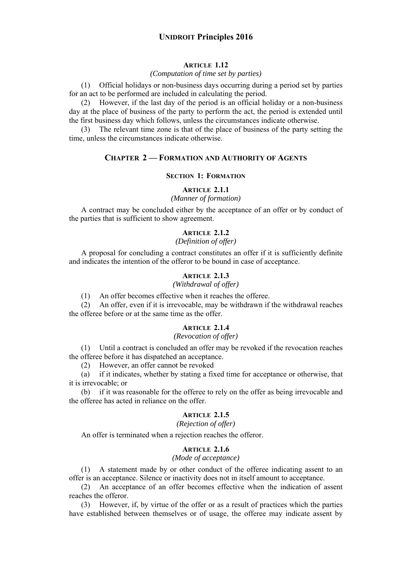# **ARTICLE 1.12**

### *(Computation of time set by parties)*

(1) Official holidays or non-business days occurring during a period set by parties for an act to be performed are included in calculating the period.

(2) However, if the last day of the period is an official holiday or a non-business day at the place of business of the party to perform the act, the period is extended until the first business day which follows, unless the circumstances indicate otherwise.

(3) The relevant time zone is that of the place of business of the party setting the time, unless the circumstances indicate otherwise.

## **CHAPTER 2 — FORMATION AND AUTHORITY OF AGENTS**

### **SECTION 1: FORMATION**

# **ARTICLE 2.1.1**

*(Manner of formation)* 

A contract may be concluded either by the acceptance of an offer or by conduct of the parties that is sufficient to show agreement.

## **ARTICLE 2.1.2**

# *(Definition of offer)*

A proposal for concluding a contract constitutes an offer if it is sufficiently definite and indicates the intention of the offeror to be bound in case of acceptance.

# **ARTICLE 2.1.3**

*(Withdrawal of offer)* 

(1) An offer becomes effective when it reaches the offeree.

(2) An offer, even if it is irrevocable, may be withdrawn if the withdrawal reaches the offeree before or at the same time as the offer.

## **ARTICLE 2.1.4**

## *(Revocation of offer)*

(1) Until a contract is concluded an offer may be revoked if the revocation reaches the offeree before it has dispatched an acceptance.

(2) However, an offer cannot be revoked

(a) if it indicates, whether by stating a fixed time for acceptance or otherwise, that it is irrevocable; or

(b) if it was reasonable for the offeree to rely on the offer as being irrevocable and the offeree has acted in reliance on the offer.

# **ARTICLE 2.1.5**

*(Rejection of offer)* 

An offer is terminated when a rejection reaches the offeror.

# **ARTICLE 2.1.6**

## *(Mode of acceptance)*

(1) A statement made by or other conduct of the offeree indicating assent to an offer is an acceptance. Silence or inactivity does not in itself amount to acceptance.

(2) An acceptance of an offer becomes effective when the indication of assent reaches the offeror.

(3) However, if, by virtue of the offer or as a result of practices which the parties have established between themselves or of usage, the offeree may indicate assent by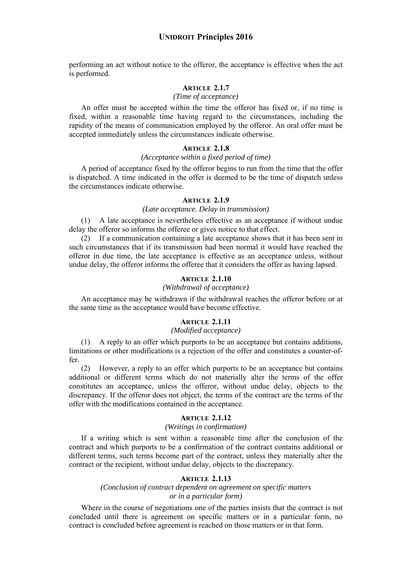## **UNIDROIT Principles 2016**

performing an act without notice to the offeror, the acceptance is effective when the act is performed.

## **ARTICLE 2.1.7**

## *(Time of acceptance)*

An offer must be accepted within the time the offeror has fixed or, if no time is fixed, within a reasonable time having regard to the circumstances, including the rapidity of the means of communication employed by the offeror. An oral offer must be accepted immediately unless the circumstances indicate otherwise.

### **ARTICLE 2.1.8**

## *(Acceptance within a fixed period of time)*

A period of acceptance fixed by the offeror begins to run from the time that the offer is dispatched. A time indicated in the offer is deemed to be the time of dispatch unless the circumstances indicate otherwise.

# **ARTICLE 2.1.9**

#### *(Late acceptance. Delay in transmission)*

(1) A late acceptance is nevertheless effective as an acceptance if without undue delay the offeror so informs the offeree or gives notice to that effect.

(2) If a communication containing a late acceptance shows that it has been sent in such circumstances that if its transmission had been normal it would have reached the offeror in due time, the late acceptance is effective as an acceptance unless, without undue delay, the offeror informs the offeree that it considers the offer as having lapsed.

### **ARTICLE 2.1.10**

## *(Withdrawal of acceptance)*

An acceptance may be withdrawn if the withdrawal reaches the offeror before or at the same time as the acceptance would have become effective.

## **ARTICLE 2.1.11**

## *(Modified acceptance)*

(1) A reply to an offer which purports to be an acceptance but contains additions, limitations or other modifications is a rejection of the offer and constitutes a counter-offer.

(2) However, a reply to an offer which purports to be an acceptance but contains additional or different terms which do not materially alter the terms of the offer constitutes an acceptance, unless the offeror, without undue delay, objects to the discrepancy. If the offeror does not object, the terms of the contract are the terms of the offer with the modifications contained in the acceptance.

### **ARTICLE 2.1.12**

### *(Writings in confirmation)*

If a writing which is sent within a reasonable time after the conclusion of the contract and which purports to be a confirmation of the contract contains additional or different terms, such terms become part of the contract, unless they materially alter the contract or the recipient, without undue delay, objects to the discrepancy.

### **ARTICLE 2.1.13**

# *(Conclusion of contract dependent on agreement on specific matters or in a particular form)*

Where in the course of negotiations one of the parties insists that the contract is not concluded until there is agreement on specific matters or in a particular form, no contract is concluded before agreement is reached on those matters or in that form.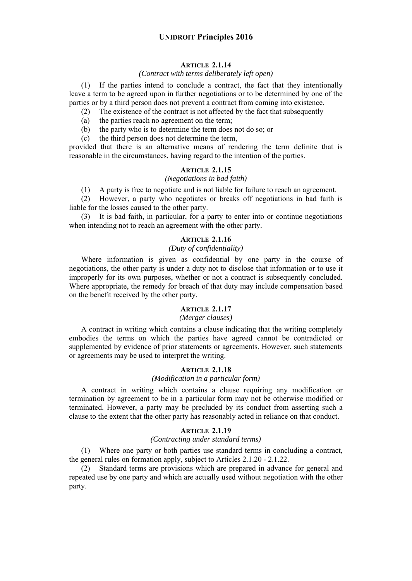# **ARTICLE 2.1.14**

### *(Contract with terms deliberately left open)*

(1) If the parties intend to conclude a contract, the fact that they intentionally leave a term to be agreed upon in further negotiations or to be determined by one of the parties or by a third person does not prevent a contract from coming into existence.

- (2) The existence of the contract is not affected by the fact that subsequently
- (a) the parties reach no agreement on the term;
- (b) the party who is to determine the term does not do so; or
- (c) the third person does not determine the term,

provided that there is an alternative means of rendering the term definite that is reasonable in the circumstances, having regard to the intention of the parties.

# **ARTICLE 2.1.15**

# *(Negotiations in bad faith)*

(1) A party is free to negotiate and is not liable for failure to reach an agreement.

(2) However, a party who negotiates or breaks off negotiations in bad faith is liable for the losses caused to the other party.

(3) It is bad faith, in particular, for a party to enter into or continue negotiations when intending not to reach an agreement with the other party.

# **ARTICLE 2.1.16**

### *(Duty of confidentiality)*

Where information is given as confidential by one party in the course of negotiations, the other party is under a duty not to disclose that information or to use it improperly for its own purposes, whether or not a contract is subsequently concluded. Where appropriate, the remedy for breach of that duty may include compensation based on the benefit received by the other party.

# **ARTICLE 2.1.17**

## *(Merger clauses)*

A contract in writing which contains a clause indicating that the writing completely embodies the terms on which the parties have agreed cannot be contradicted or supplemented by evidence of prior statements or agreements. However, such statements or agreements may be used to interpret the writing.

### **ARTICLE 2.1.18**

# *(Modification in a particular form)*

A contract in writing which contains a clause requiring any modification or termination by agreement to be in a particular form may not be otherwise modified or terminated. However, a party may be precluded by its conduct from asserting such a clause to the extent that the other party has reasonably acted in reliance on that conduct.

## **ARTICLE 2.1.19**

### *(Contracting under standard terms)*

(1) Where one party or both parties use standard terms in concluding a contract, the general rules on formation apply, subject to Articles 2.1.20 - 2.1.22.

(2) Standard terms are provisions which are prepared in advance for general and repeated use by one party and which are actually used without negotiation with the other party.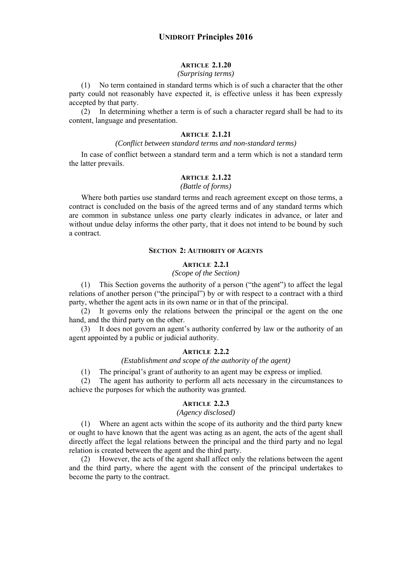# **ARTICLE 2.1.20**

### *(Surprising terms)*

(1) No term contained in standard terms which is of such a character that the other party could not reasonably have expected it, is effective unless it has been expressly accepted by that party.

(2) In determining whether a term is of such a character regard shall be had to its content, language and presentation.

# **ARTICLE 2.1.21**

### *(Conflict between standard terms and non-standard terms)*

In case of conflict between a standard term and a term which is not a standard term the latter prevails.

### **ARTICLE 2.1.22**

### *(Battle of forms)*

Where both parties use standard terms and reach agreement except on those terms, a contract is concluded on the basis of the agreed terms and of any standard terms which are common in substance unless one party clearly indicates in advance, or later and without undue delay informs the other party, that it does not intend to be bound by such a contract.

### **SECTION 2: AUTHORITY OF AGENTS**

#### **ARTICLE 2.2.1**

### *(Scope of the Section)*

(1) This Section governs the authority of a person ("the agent") to affect the legal relations of another person ("the principal") by or with respect to a contract with a third party, whether the agent acts in its own name or in that of the principal.

(2) It governs only the relations between the principal or the agent on the one hand, and the third party on the other.

(3) It does not govern an agent's authority conferred by law or the authority of an agent appointed by a public or judicial authority.

#### **ARTICLE 2.2.2**

## *(Establishment and scope of the authority of the agent)*

(1) The principal's grant of authority to an agent may be express or implied.

(2) The agent has authority to perform all acts necessary in the circumstances to achieve the purposes for which the authority was granted.

### **ARTICLE 2.2.3**

### *(Agency disclosed)*

(1) Where an agent acts within the scope of its authority and the third party knew or ought to have known that the agent was acting as an agent, the acts of the agent shall directly affect the legal relations between the principal and the third party and no legal relation is created between the agent and the third party.

(2) However, the acts of the agent shall affect only the relations between the agent and the third party, where the agent with the consent of the principal undertakes to become the party to the contract.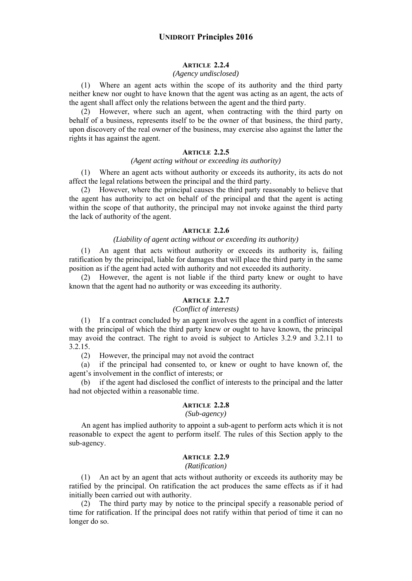# **ARTICLE 2.2.4**

# *(Agency undisclosed)*

(1) Where an agent acts within the scope of its authority and the third party neither knew nor ought to have known that the agent was acting as an agent, the acts of the agent shall affect only the relations between the agent and the third party.

(2) However, where such an agent, when contracting with the third party on behalf of a business, represents itself to be the owner of that business, the third party, upon discovery of the real owner of the business, may exercise also against the latter the rights it has against the agent.

### **ARTICLE 2.2.5**

### *(Agent acting without or exceeding its authority)*

(1) Where an agent acts without authority or exceeds its authority, its acts do not affect the legal relations between the principal and the third party.

(2) However, where the principal causes the third party reasonably to believe that the agent has authority to act on behalf of the principal and that the agent is acting within the scope of that authority, the principal may not invoke against the third party the lack of authority of the agent.

#### **ARTICLE 2.2.6**

### *(Liability of agent acting without or exceeding its authority)*

(1) An agent that acts without authority or exceeds its authority is, failing ratification by the principal, liable for damages that will place the third party in the same position as if the agent had acted with authority and not exceeded its authority.

(2) However, the agent is not liable if the third party knew or ought to have known that the agent had no authority or was exceeding its authority.

## **ARTICLE 2.2.7**

# *(Conflict of interests)*

(1) If a contract concluded by an agent involves the agent in a conflict of interests with the principal of which the third party knew or ought to have known, the principal may avoid the contract. The right to avoid is subject to Articles 3.2.9 and 3.2.11 to 3.2.15.

(2) However, the principal may not avoid the contract

(a) if the principal had consented to, or knew or ought to have known of, the agent's involvement in the conflict of interests; or

(b) if the agent had disclosed the conflict of interests to the principal and the latter had not objected within a reasonable time.

## **ARTICLE 2.2.8**

## *(Sub-agency)*

An agent has implied authority to appoint a sub-agent to perform acts which it is not reasonable to expect the agent to perform itself. The rules of this Section apply to the sub-agency.

### **ARTICLE 2.2.9**

### *(Ratification)*

(1) An act by an agent that acts without authority or exceeds its authority may be ratified by the principal. On ratification the act produces the same effects as if it had initially been carried out with authority.

(2) The third party may by notice to the principal specify a reasonable period of time for ratification. If the principal does not ratify within that period of time it can no longer do so.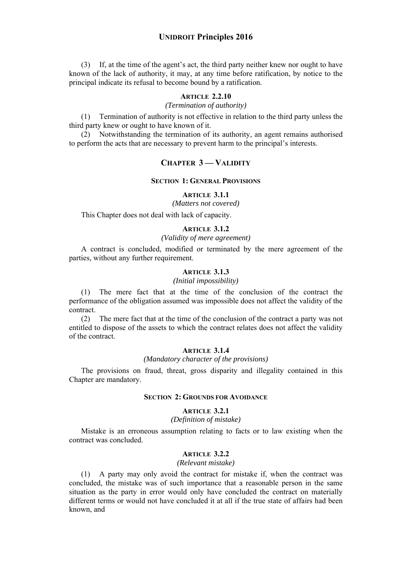(3) If, at the time of the agent's act, the third party neither knew nor ought to have known of the lack of authority, it may, at any time before ratification, by notice to the principal indicate its refusal to become bound by a ratification.

# **ARTICLE 2.2.10**

*(Termination of authority)* 

(1) Termination of authority is not effective in relation to the third party unless the third party knew or ought to have known of it.

(2) Notwithstanding the termination of its authority, an agent remains authorised to perform the acts that are necessary to prevent harm to the principal's interests.

# **CHAPTER 3 — VALIDITY**

## **SECTION 1: GENERAL PROVISIONS**

### **ARTICLE 3.1.1**

*(Matters not covered)* 

This Chapter does not deal with lack of capacity.

## **ARTICLE 3.1.2**

### *(Validity of mere agreement)*

A contract is concluded, modified or terminated by the mere agreement of the parties, without any further requirement.

## **ARTICLE 3.1.3**

*(Initial impossibility)* 

The mere fact that at the time of the conclusion of the contract the performance of the obligation assumed was impossible does not affect the validity of the contract.

(2) The mere fact that at the time of the conclusion of the contract a party was not entitled to dispose of the assets to which the contract relates does not affect the validity of the contract.

### **ARTICLE 3.1.4**

### *(Mandatory character of the provisions)*

The provisions on fraud, threat, gross disparity and illegality contained in this Chapter are mandatory.

#### **SECTION 2: GROUNDS FOR AVOIDANCE**

### **ARTICLE 3.2.1**

#### *(Definition of mistake)*

Mistake is an erroneous assumption relating to facts or to law existing when the contract was concluded.

# **ARTICLE 3.2.2**

#### *(Relevant mistake)*

(1) A party may only avoid the contract for mistake if, when the contract was concluded, the mistake was of such importance that a reasonable person in the same situation as the party in error would only have concluded the contract on materially different terms or would not have concluded it at all if the true state of affairs had been known, and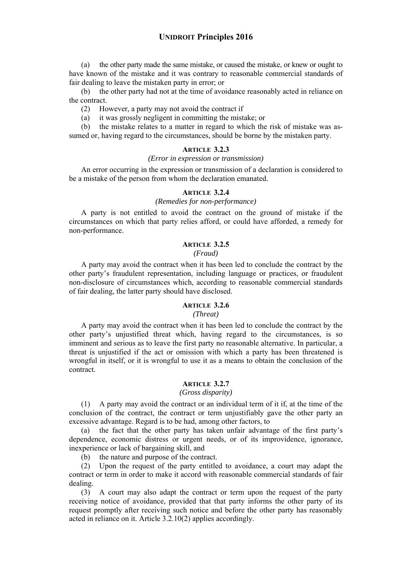(a) the other party made the same mistake, or caused the mistake, or knew or ought to have known of the mistake and it was contrary to reasonable commercial standards of fair dealing to leave the mistaken party in error; or

(b) the other party had not at the time of avoidance reasonably acted in reliance on the contract.

(2) However, a party may not avoid the contract if

(a) it was grossly negligent in committing the mistake; or

(b) the mistake relates to a matter in regard to which the risk of mistake was assumed or, having regard to the circumstances, should be borne by the mistaken party.

# **ARTICLE 3.2.3**

### *(Error in expression or transmission)*

An error occurring in the expression or transmission of a declaration is considered to be a mistake of the person from whom the declaration emanated.

## **ARTICLE 3.2.4**

### *(Remedies for non-performance)*

A party is not entitled to avoid the contract on the ground of mistake if the circumstances on which that party relies afford, or could have afforded, a remedy for non-performance.

## **ARTICLE 3.2.5**

## *(Fraud)*

A party may avoid the contract when it has been led to conclude the contract by the other party's fraudulent representation, including language or practices, or fraudulent non-disclosure of circumstances which, according to reasonable commercial standards of fair dealing, the latter party should have disclosed.

## **ARTICLE 3.2.6**

### *(Threat)*

A party may avoid the contract when it has been led to conclude the contract by the other party's unjustified threat which, having regard to the circumstances, is so imminent and serious as to leave the first party no reasonable alternative. In particular, a threat is unjustified if the act or omission with which a party has been threatened is wrongful in itself, or it is wrongful to use it as a means to obtain the conclusion of the contract.

### **ARTICLE 3.2.7**

### *(Gross disparity)*

(1) A party may avoid the contract or an individual term of it if, at the time of the conclusion of the contract, the contract or term unjustifiably gave the other party an excessive advantage. Regard is to be had, among other factors, to

(a) the fact that the other party has taken unfair advantage of the first party's dependence, economic distress or urgent needs, or of its improvidence, ignorance, inexperience or lack of bargaining skill, and

(b) the nature and purpose of the contract.

(2) Upon the request of the party entitled to avoidance, a court may adapt the contract or term in order to make it accord with reasonable commercial standards of fair dealing.

(3) A court may also adapt the contract or term upon the request of the party receiving notice of avoidance, provided that that party informs the other party of its request promptly after receiving such notice and before the other party has reasonably acted in reliance on it. Article 3.2.10(2) applies accordingly.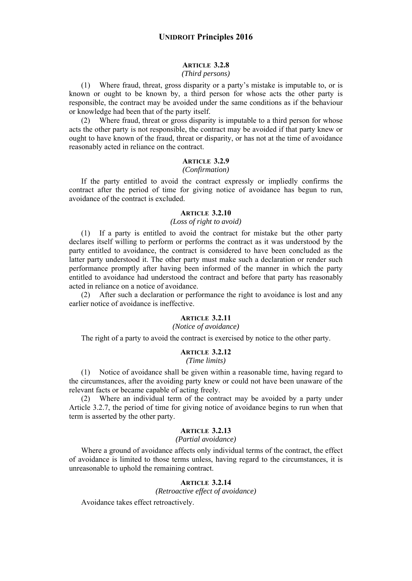# **ARTICLE 3.2.8**

### *(Third persons)*

(1) Where fraud, threat, gross disparity or a party's mistake is imputable to, or is known or ought to be known by, a third person for whose acts the other party is responsible, the contract may be avoided under the same conditions as if the behaviour or knowledge had been that of the party itself.

(2) Where fraud, threat or gross disparity is imputable to a third person for whose acts the other party is not responsible, the contract may be avoided if that party knew or ought to have known of the fraud, threat or disparity, or has not at the time of avoidance reasonably acted in reliance on the contract.

### **ARTICLE 3.2.9**

### *(Confirmation)*

If the party entitled to avoid the contract expressly or impliedly confirms the contract after the period of time for giving notice of avoidance has begun to run, avoidance of the contract is excluded.

### **ARTICLE 3.2.10**

# *(Loss of right to avoid)*

(1) If a party is entitled to avoid the contract for mistake but the other party declares itself willing to perform or performs the contract as it was understood by the party entitled to avoidance, the contract is considered to have been concluded as the latter party understood it. The other party must make such a declaration or render such performance promptly after having been informed of the manner in which the party entitled to avoidance had understood the contract and before that party has reasonably acted in reliance on a notice of avoidance.

(2) After such a declaration or performance the right to avoidance is lost and any earlier notice of avoidance is ineffective.

## **ARTICLE 3.2.11**

## *(Notice of avoidance)*

The right of a party to avoid the contract is exercised by notice to the other party.

#### **ARTICLE 3.2.12**  *(Time limits)*

(1) Notice of avoidance shall be given within a reasonable time, having regard to the circumstances, after the avoiding party knew or could not have been unaware of the relevant facts or became capable of acting freely.

(2) Where an individual term of the contract may be avoided by a party under Article 3.2.7, the period of time for giving notice of avoidance begins to run when that term is asserted by the other party.

# **ARTICLE 3.2.13**

## *(Partial avoidance)*

Where a ground of avoidance affects only individual terms of the contract, the effect of avoidance is limited to those terms unless, having regard to the circumstances, it is unreasonable to uphold the remaining contract.

### **ARTICLE 3.2.14**

*(Retroactive effect of avoidance)* 

Avoidance takes effect retroactively.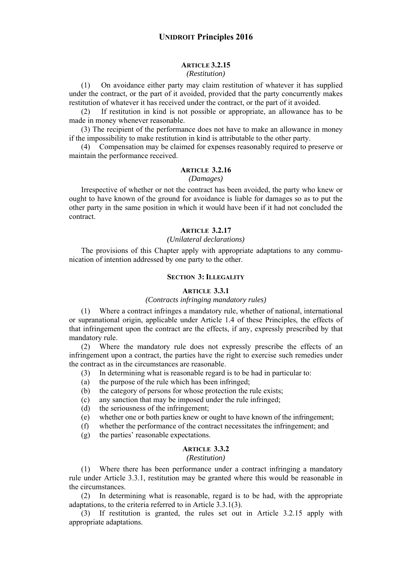# **ARTICLE 3.2.15**

### *(Restitution)*

(1) On avoidance either party may claim restitution of whatever it has supplied under the contract, or the part of it avoided, provided that the party concurrently makes restitution of whatever it has received under the contract, or the part of it avoided.

(2) If restitution in kind is not possible or appropriate, an allowance has to be made in money whenever reasonable.

(3) The recipient of the performance does not have to make an allowance in money if the impossibility to make restitution in kind is attributable to the other party.

(4) Compensation may be claimed for expenses reasonably required to preserve or maintain the performance received.

## **ARTICLE 3.2.16**

## *(Damages)*

Irrespective of whether or not the contract has been avoided, the party who knew or ought to have known of the ground for avoidance is liable for damages so as to put the other party in the same position in which it would have been if it had not concluded the contract.

### **ARTICLE 3.2.17**

#### *(Unilateral declarations)*

The provisions of this Chapter apply with appropriate adaptations to any communication of intention addressed by one party to the other.

## **SECTION 3: ILLEGALITY**

## **ARTICLE 3.3.1**

### *(Contracts infringing mandatory rules)*

(1) Where a contract infringes a mandatory rule, whether of national, international or supranational origin, applicable under Article 1.4 of these Principles, the effects of that infringement upon the contract are the effects, if any, expressly prescribed by that mandatory rule.

(2) Where the mandatory rule does not expressly prescribe the effects of an infringement upon a contract, the parties have the right to exercise such remedies under the contract as in the circumstances are reasonable.

- (3) In determining what is reasonable regard is to be had in particular to:
- (a) the purpose of the rule which has been infringed;
- (b) the category of persons for whose protection the rule exists;
- (c) any sanction that may be imposed under the rule infringed;
- (d) the seriousness of the infringement;
- (e) whether one or both parties knew or ought to have known of the infringement;
- (f) whether the performance of the contract necessitates the infringement; and
- (g) the parties' reasonable expectations.

## **ARTICLE 3.3.2**

#### *(Restitution)*

(1) Where there has been performance under a contract infringing a mandatory rule under Article 3.3.1, restitution may be granted where this would be reasonable in the circumstances.

(2) In determining what is reasonable, regard is to be had, with the appropriate adaptations, to the criteria referred to in Article 3.3.1(3).

(3) If restitution is granted, the rules set out in Article 3.2.15 apply with appropriate adaptations.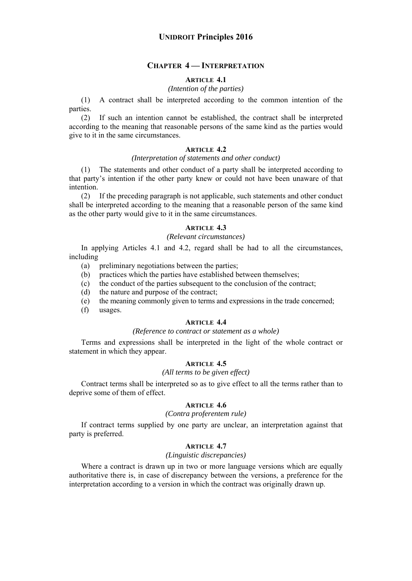# **CHAPTER 4 — INTERPRETATION**

# **ARTICLE 4.1**

*(Intention of the parties)* 

(1) A contract shall be interpreted according to the common intention of the parties.

(2) If such an intention cannot be established, the contract shall be interpreted according to the meaning that reasonable persons of the same kind as the parties would give to it in the same circumstances.

## **ARTICLE 4.2**

## *(Interpretation of statements and other conduct)*

(1) The statements and other conduct of a party shall be interpreted according to that party's intention if the other party knew or could not have been unaware of that intention.

(2) If the preceding paragraph is not applicable, such statements and other conduct shall be interpreted according to the meaning that a reasonable person of the same kind as the other party would give to it in the same circumstances.

#### **ARTICLE 4.3**

### *(Relevant circumstances)*

In applying Articles 4.1 and 4.2, regard shall be had to all the circumstances, including

- (a) preliminary negotiations between the parties;
- (b) practices which the parties have established between themselves;
- (c) the conduct of the parties subsequent to the conclusion of the contract;
- (d) the nature and purpose of the contract;
- (e) the meaning commonly given to terms and expressions in the trade concerned;
- (f) usages.

### **ARTICLE 4.4**

### *(Reference to contract or statement as a whole)*

Terms and expressions shall be interpreted in the light of the whole contract or statement in which they appear.

## **ARTICLE 4.5**

# *(All terms to be given effect)*

Contract terms shall be interpreted so as to give effect to all the terms rather than to deprive some of them of effect.

## **ARTICLE 4.6**

### *(Contra proferentem rule)*

If contract terms supplied by one party are unclear, an interpretation against that party is preferred.

### **ARTICLE 4.7**

#### *(Linguistic discrepancies)*

Where a contract is drawn up in two or more language versions which are equally authoritative there is, in case of discrepancy between the versions, a preference for the interpretation according to a version in which the contract was originally drawn up.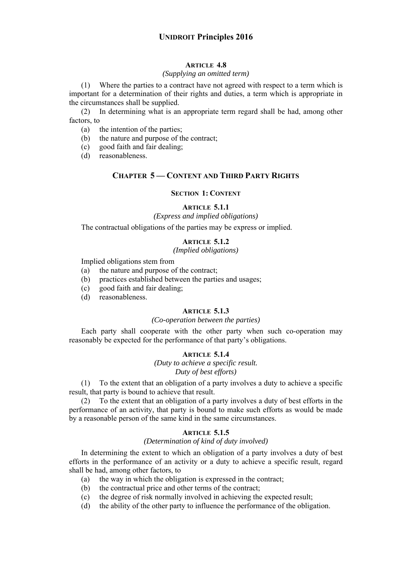# **ARTICLE 4.8**

### *(Supplying an omitted term)*

(1) Where the parties to a contract have not agreed with respect to a term which is important for a determination of their rights and duties, a term which is appropriate in the circumstances shall be supplied.

(2) In determining what is an appropriate term regard shall be had, among other factors, to

(a) the intention of the parties;

(b) the nature and purpose of the contract;

(c) good faith and fair dealing;

(d) reasonableness.

## **CHAPTER 5 — CONTENT AND THIRD PARTY RIGHTS**

### **SECTION 1: CONTENT**

# **ARTICLE 5.1.1**

# *(Express and implied obligations)*

The contractual obligations of the parties may be express or implied.

# **ARTICLE 5.1.2**

## *(Implied obligations)*

Implied obligations stem from

- (a) the nature and purpose of the contract;
- (b) practices established between the parties and usages;
- (c) good faith and fair dealing;
- (d) reasonableness.

### **ARTICLE 5.1.3**

## *(Co-operation between the parties)*

Each party shall cooperate with the other party when such co-operation may reasonably be expected for the performance of that party's obligations.

# **ARTICLE 5.1.4**

*(Duty to achieve a specific result.* 

# *Duty of best efforts)*

(1) To the extent that an obligation of a party involves a duty to achieve a specific result, that party is bound to achieve that result.

(2) To the extent that an obligation of a party involves a duty of best efforts in the performance of an activity, that party is bound to make such efforts as would be made by a reasonable person of the same kind in the same circumstances.

## **ARTICLE 5.1.5**

### *(Determination of kind of duty involved)*

In determining the extent to which an obligation of a party involves a duty of best efforts in the performance of an activity or a duty to achieve a specific result, regard shall be had, among other factors, to

- (a) the way in which the obligation is expressed in the contract;
- (b) the contractual price and other terms of the contract;
- (c) the degree of risk normally involved in achieving the expected result;
- (d) the ability of the other party to influence the performance of the obligation.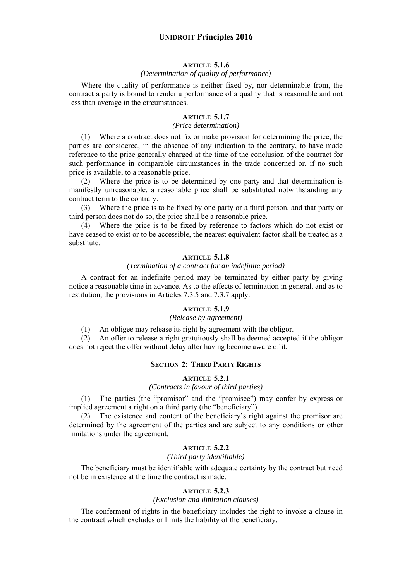# **ARTICLE 5.1.6**

### *(Determination of quality of performance)*

Where the quality of performance is neither fixed by, nor determinable from, the contract a party is bound to render a performance of a quality that is reasonable and not less than average in the circumstances.

## **ARTICLE 5.1.7**

### *(Price determination)*

(1) Where a contract does not fix or make provision for determining the price, the parties are considered, in the absence of any indication to the contrary, to have made reference to the price generally charged at the time of the conclusion of the contract for such performance in comparable circumstances in the trade concerned or, if no such price is available, to a reasonable price.

(2) Where the price is to be determined by one party and that determination is manifestly unreasonable, a reasonable price shall be substituted notwithstanding any contract term to the contrary.

(3) Where the price is to be fixed by one party or a third person, and that party or third person does not do so, the price shall be a reasonable price.

(4) Where the price is to be fixed by reference to factors which do not exist or have ceased to exist or to be accessible, the nearest equivalent factor shall be treated as a substitute.

### **ARTICLE 5.1.8**

### *(Termination of a contract for an indefinite period)*

A contract for an indefinite period may be terminated by either party by giving notice a reasonable time in advance. As to the effects of termination in general, and as to restitution, the provisions in Articles 7.3.5 and 7.3.7 apply.

# **ARTICLE 5.1.9**

## *(Release by agreement)*

(1) An obligee may release its right by agreement with the obligor.

(2) An offer to release a right gratuitously shall be deemed accepted if the obligor does not reject the offer without delay after having become aware of it.

## **SECTION 2: THIRD PARTY RIGHTS**

## **ARTICLE 5.2.1**

## *(Contracts in favour of third parties)*

(1) The parties (the "promisor" and the "promisee") may confer by express or implied agreement a right on a third party (the "beneficiary").

(2) The existence and content of the beneficiary's right against the promisor are determined by the agreement of the parties and are subject to any conditions or other limitations under the agreement.

# **ARTICLE 5.2.2**

#### *(Third party identifiable)*

The beneficiary must be identifiable with adequate certainty by the contract but need not be in existence at the time the contract is made.

## **ARTICLE 5.2.3**

### *(Exclusion and limitation clauses)*

The conferment of rights in the beneficiary includes the right to invoke a clause in the contract which excludes or limits the liability of the beneficiary.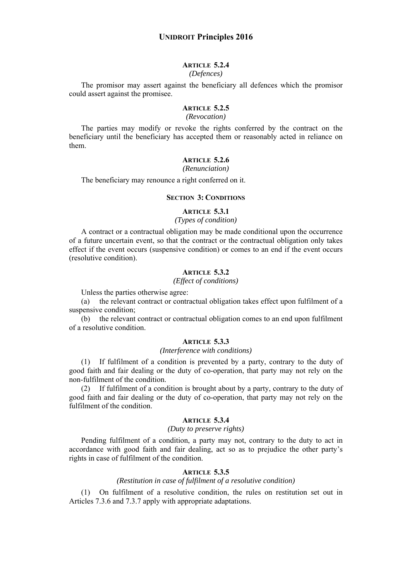# **ARTICLE 5.2.4**

### *(Defences)*

The promisor may assert against the beneficiary all defences which the promisor could assert against the promisee.

# **ARTICLE 5.2.5**

*(Revocation)* 

The parties may modify or revoke the rights conferred by the contract on the beneficiary until the beneficiary has accepted them or reasonably acted in reliance on them.

# **ARTICLE 5.2.6**

#### *(Renunciation)*

The beneficiary may renounce a right conferred on it.

#### **SECTION 3: CONDITIONS**

## **ARTICLE 5.3.1**

### *(Types of condition)*

A contract or a contractual obligation may be made conditional upon the occurrence of a future uncertain event, so that the contract or the contractual obligation only takes effect if the event occurs (suspensive condition) or comes to an end if the event occurs (resolutive condition).

## **ARTICLE 5.3.2**

*(Effect of conditions)* 

Unless the parties otherwise agree:

(a) the relevant contract or contractual obligation takes effect upon fulfilment of a suspensive condition;

(b) the relevant contract or contractual obligation comes to an end upon fulfilment of a resolutive condition.

### **ARTICLE 5.3.3**

### *(Interference with conditions)*

(1) If fulfilment of a condition is prevented by a party, contrary to the duty of good faith and fair dealing or the duty of co-operation, that party may not rely on the non-fulfilment of the condition.

(2) If fulfilment of a condition is brought about by a party, contrary to the duty of good faith and fair dealing or the duty of co-operation, that party may not rely on the fulfilment of the condition.

### **ARTICLE 5.3.4**

### *(Duty to preserve rights)*

Pending fulfilment of a condition, a party may not, contrary to the duty to act in accordance with good faith and fair dealing, act so as to prejudice the other party's rights in case of fulfilment of the condition.

## **ARTICLE 5.3.5**

#### *(Restitution in case of fulfilment of a resolutive condition)*

(1) On fulfilment of a resolutive condition, the rules on restitution set out in Articles 7.3.6 and 7.3.7 apply with appropriate adaptations.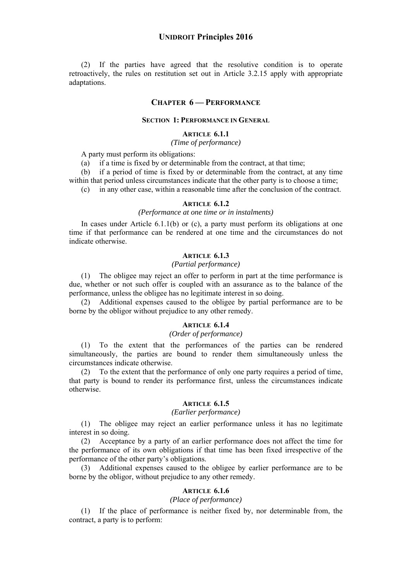(2) If the parties have agreed that the resolutive condition is to operate retroactively, the rules on restitution set out in Article 3.2.15 apply with appropriate adaptations.

## **CHAPTER 6 — PERFORMANCE**

### **SECTION 1: PERFORMANCE IN GENERAL**

### **ARTICLE 6.1.1**

*(Time of performance)* 

A party must perform its obligations:

(a) if a time is fixed by or determinable from the contract, at that time;

(b) if a period of time is fixed by or determinable from the contract, at any time within that period unless circumstances indicate that the other party is to choose a time;

(c) in any other case, within a reasonable time after the conclusion of the contract.

#### **ARTICLE 6.1.2**

### *(Performance at one time or in instalments)*

In cases under Article 6.1.1(b) or (c), a party must perform its obligations at one time if that performance can be rendered at one time and the circumstances do not indicate otherwise.

### **ARTICLE 6.1.3**

## *(Partial performance)*

(1) The obligee may reject an offer to perform in part at the time performance is due, whether or not such offer is coupled with an assurance as to the balance of the performance, unless the obligee has no legitimate interest in so doing.

(2) Additional expenses caused to the obligee by partial performance are to be borne by the obligor without prejudice to any other remedy.

# **ARTICLE 6.1.4**

### *(Order of performance)*

(1) To the extent that the performances of the parties can be rendered simultaneously, the parties are bound to render them simultaneously unless the circumstances indicate otherwise.

(2) To the extent that the performance of only one party requires a period of time, that party is bound to render its performance first, unless the circumstances indicate otherwise.

# **ARTICLE 6.1.5**

# *(Earlier performance)*

(1) The obligee may reject an earlier performance unless it has no legitimate interest in so doing.

(2) Acceptance by a party of an earlier performance does not affect the time for the performance of its own obligations if that time has been fixed irrespective of the performance of the other party's obligations.

(3) Additional expenses caused to the obligee by earlier performance are to be borne by the obligor, without prejudice to any other remedy.

## **ARTICLE 6.1.6**

## *(Place of performance)*

(1) If the place of performance is neither fixed by, nor determinable from, the contract, a party is to perform: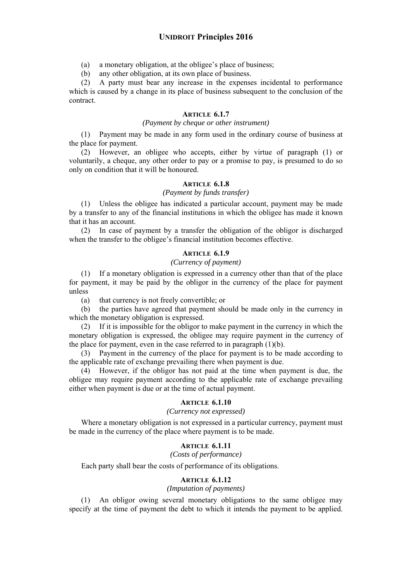# **UNIDROIT Principles 2016**

(a) a monetary obligation, at the obligee's place of business;

(b) any other obligation, at its own place of business.

(2) A party must bear any increase in the expenses incidental to performance which is caused by a change in its place of business subsequent to the conclusion of the contract.

## **ARTICLE 6.1.7**

### *(Payment by cheque or other instrument)*

(1) Payment may be made in any form used in the ordinary course of business at the place for payment.

(2) However, an obligee who accepts, either by virtue of paragraph (1) or voluntarily, a cheque, any other order to pay or a promise to pay, is presumed to do so only on condition that it will be honoured.

# **ARTICLE 6.1.8**

## *(Payment by funds transfer)*

(1) Unless the obligee has indicated a particular account, payment may be made by a transfer to any of the financial institutions in which the obligee has made it known that it has an account.

(2) In case of payment by a transfer the obligation of the obligor is discharged when the transfer to the obligee's financial institution becomes effective.

## **ARTICLE 6.1.9**

#### *(Currency of payment)*

(1) If a monetary obligation is expressed in a currency other than that of the place for payment, it may be paid by the obligor in the currency of the place for payment unless

(a) that currency is not freely convertible; or

(b) the parties have agreed that payment should be made only in the currency in which the monetary obligation is expressed.

(2) If it is impossible for the obligor to make payment in the currency in which the monetary obligation is expressed, the obligee may require payment in the currency of the place for payment, even in the case referred to in paragraph  $(1)(b)$ .

(3) Payment in the currency of the place for payment is to be made according to the applicable rate of exchange prevailing there when payment is due.

(4) However, if the obligor has not paid at the time when payment is due, the obligee may require payment according to the applicable rate of exchange prevailing either when payment is due or at the time of actual payment.

## **ARTICLE 6.1.10**

# *(Currency not expressed)*

Where a monetary obligation is not expressed in a particular currency, payment must be made in the currency of the place where payment is to be made.

# **ARTICLE 6.1.11**

## *(Costs of performance)*

Each party shall bear the costs of performance of its obligations.

### **ARTICLE 6.1.12**

### *(Imputation of payments)*

(1) An obligor owing several monetary obligations to the same obligee may specify at the time of payment the debt to which it intends the payment to be applied.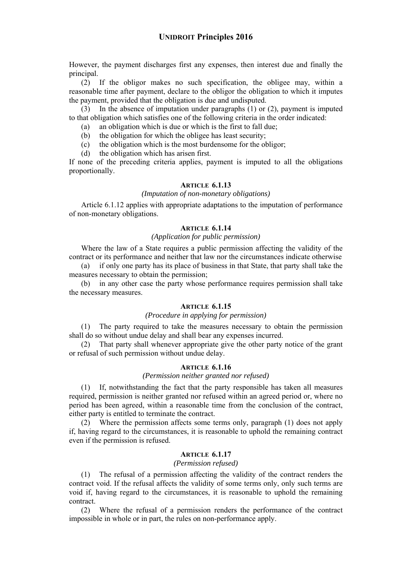However, the payment discharges first any expenses, then interest due and finally the principal.

(2) If the obligor makes no such specification, the obligee may, within a reasonable time after payment, declare to the obligor the obligation to which it imputes the payment, provided that the obligation is due and undisputed.

 $(3)$  In the absence of imputation under paragraphs  $(1)$  or  $(2)$ , payment is imputed to that obligation which satisfies one of the following criteria in the order indicated:

- (a) an obligation which is due or which is the first to fall due;
- (b) the obligation for which the obligee has least security;
- (c) the obligation which is the most burdensome for the obligor;
- (d) the obligation which has arisen first.

If none of the preceding criteria applies, payment is imputed to all the obligations proportionally.

### **ARTICLE 6.1.13**

### *(Imputation of non-monetary obligations)*

Article 6.1.12 applies with appropriate adaptations to the imputation of performance of non-monetary obligations.

## **ARTICLE 6.1.14**

### *(Application for public permission)*

Where the law of a State requires a public permission affecting the validity of the contract or its performance and neither that law nor the circumstances indicate otherwise

(a) if only one party has its place of business in that State, that party shall take the measures necessary to obtain the permission;

(b) in any other case the party whose performance requires permission shall take the necessary measures.

## **ARTICLE 6.1.15**

## *(Procedure in applying for permission)*

(1) The party required to take the measures necessary to obtain the permission shall do so without undue delay and shall bear any expenses incurred.

(2) That party shall whenever appropriate give the other party notice of the grant or refusal of such permission without undue delay.

### **ARTICLE 6.1.16**

# *(Permission neither granted nor refused)*

(1) If, notwithstanding the fact that the party responsible has taken all measures required, permission is neither granted nor refused within an agreed period or, where no period has been agreed, within a reasonable time from the conclusion of the contract, either party is entitled to terminate the contract.

(2) Where the permission affects some terms only, paragraph (1) does not apply if, having regard to the circumstances, it is reasonable to uphold the remaining contract even if the permission is refused.

# **ARTICLE 6.1.17**

### *(Permission refused)*

(1) The refusal of a permission affecting the validity of the contract renders the contract void. If the refusal affects the validity of some terms only, only such terms are void if, having regard to the circumstances, it is reasonable to uphold the remaining contract.

(2) Where the refusal of a permission renders the performance of the contract impossible in whole or in part, the rules on non-performance apply.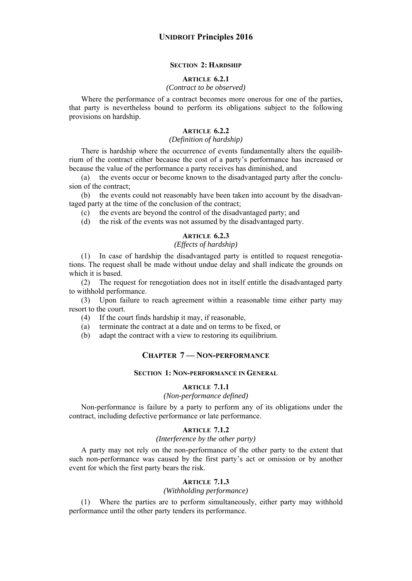## **SECTION 2: HARDSHIP**

## **ARTICLE 6.2.1**

### *(Contract to be observed)*

Where the performance of a contract becomes more onerous for one of the parties, that party is nevertheless bound to perform its obligations subject to the following provisions on hardship.

# **ARTICLE 6.2.2**

### *(Definition of hardship)*

There is hardship where the occurrence of events fundamentally alters the equilibrium of the contract either because the cost of a party's performance has increased or because the value of the performance a party receives has diminished, and

(a) the events occur or become known to the disadvantaged party after the conclusion of the contract;

(b) the events could not reasonably have been taken into account by the disadvantaged party at the time of the conclusion of the contract;

(c) the events are beyond the control of the disadvantaged party; and

(d) the risk of the events was not assumed by the disadvantaged party.

# **ARTICLE 6.2.3**

# *(Effects of hardship)*

(1) In case of hardship the disadvantaged party is entitled to request renegotiations. The request shall be made without undue delay and shall indicate the grounds on which it is based.

(2) The request for renegotiation does not in itself entitle the disadvantaged party to withhold performance.

(3) Upon failure to reach agreement within a reasonable time either party may resort to the court.

(4) If the court finds hardship it may, if reasonable,

(a) terminate the contract at a date and on terms to be fixed, or

(b) adapt the contract with a view to restoring its equilibrium.

# **CHAPTER 7 — NON-PERFORMANCE**

## **SECTION 1: NON-PERFORMANCE IN GENERAL**

# **ARTICLE 7.1.1**

# *(Non-performance defined)*

Non-performance is failure by a party to perform any of its obligations under the contract, including defective performance or late performance.

### **ARTICLE 7.1.2**

### *(Interference by the other party)*

A party may not rely on the non-performance of the other party to the extent that such non-performance was caused by the first party's act or omission or by another event for which the first party bears the risk.

### **ARTICLE 7.1.3**

## *(Withholding performance)*

(1) Where the parties are to perform simultaneously, either party may withhold performance until the other party tenders its performance.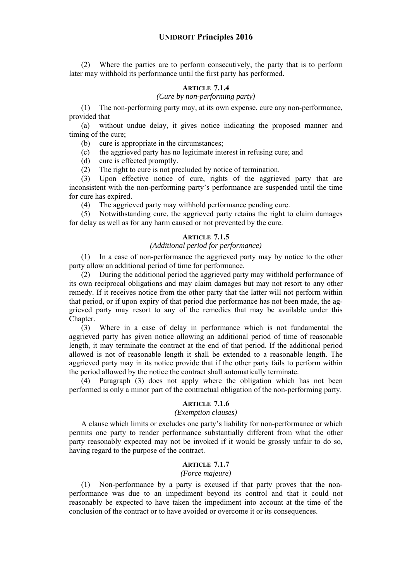(2) Where the parties are to perform consecutively, the party that is to perform later may withhold its performance until the first party has performed.

## **ARTICLE 7.1.4**

# *(Cure by non-performing party)*

(1) The non-performing party may, at its own expense, cure any non-performance, provided that

(a) without undue delay, it gives notice indicating the proposed manner and timing of the cure;

(b) cure is appropriate in the circumstances;

(c) the aggrieved party has no legitimate interest in refusing cure; and

(d) cure is effected promptly.

(2) The right to cure is not precluded by notice of termination.

(3) Upon effective notice of cure, rights of the aggrieved party that are inconsistent with the non-performing party's performance are suspended until the time for cure has expired.

(4) The aggrieved party may withhold performance pending cure.

(5) Notwithstanding cure, the aggrieved party retains the right to claim damages for delay as well as for any harm caused or not prevented by the cure.

### **ARTICLE 7.1.5**

## *(Additional period for performance)*

(1) In a case of non-performance the aggrieved party may by notice to the other party allow an additional period of time for performance.

(2) During the additional period the aggrieved party may withhold performance of its own reciprocal obligations and may claim damages but may not resort to any other remedy. If it receives notice from the other party that the latter will not perform within that period, or if upon expiry of that period due performance has not been made, the aggrieved party may resort to any of the remedies that may be available under this Chapter.

(3) Where in a case of delay in performance which is not fundamental the aggrieved party has given notice allowing an additional period of time of reasonable length, it may terminate the contract at the end of that period. If the additional period allowed is not of reasonable length it shall be extended to a reasonable length. The aggrieved party may in its notice provide that if the other party fails to perform within the period allowed by the notice the contract shall automatically terminate.

(4) Paragraph (3) does not apply where the obligation which has not been performed is only a minor part of the contractual obligation of the non-performing party.

# **ARTICLE 7.1.6**

## *(Exemption clauses)*

A clause which limits or excludes one party's liability for non-performance or which permits one party to render performance substantially different from what the other party reasonably expected may not be invoked if it would be grossly unfair to do so, having regard to the purpose of the contract.

## **ARTICLE 7.1.7**

# *(Force majeure)*

(1) Non-performance by a party is excused if that party proves that the nonperformance was due to an impediment beyond its control and that it could not reasonably be expected to have taken the impediment into account at the time of the conclusion of the contract or to have avoided or overcome it or its consequences.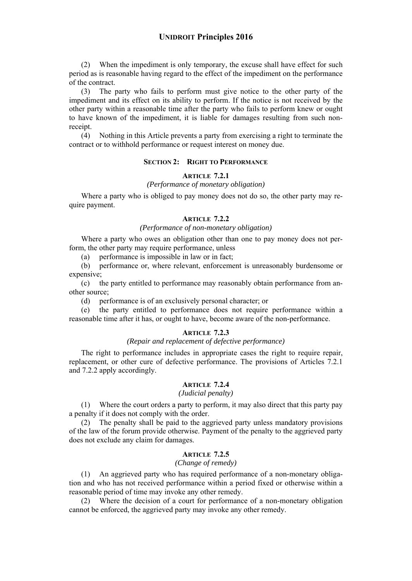(2) When the impediment is only temporary, the excuse shall have effect for such period as is reasonable having regard to the effect of the impediment on the performance of the contract.

(3) The party who fails to perform must give notice to the other party of the impediment and its effect on its ability to perform. If the notice is not received by the other party within a reasonable time after the party who fails to perform knew or ought to have known of the impediment, it is liable for damages resulting from such nonreceipt.

(4) Nothing in this Article prevents a party from exercising a right to terminate the contract or to withhold performance or request interest on money due.

## **SECTION 2: RIGHT TO PERFORMANCE**

## **ARTICLE 7.2.1**

### *(Performance of monetary obligation)*

Where a party who is obliged to pay money does not do so, the other party may require payment.

### **ARTICLE 7.2.2**

## *(Performance of non-monetary obligation)*

Where a party who owes an obligation other than one to pay money does not perform, the other party may require performance, unless

(a) performance is impossible in law or in fact;

(b) performance or, where relevant, enforcement is unreasonably burdensome or expensive;

(c) the party entitled to performance may reasonably obtain performance from another source;

(d) performance is of an exclusively personal character; or

(e) the party entitled to performance does not require performance within a reasonable time after it has, or ought to have, become aware of the non-performance.

### **ARTICLE 7.2.3**

## *(Repair and replacement of defective performance)*

The right to performance includes in appropriate cases the right to require repair, replacement, or other cure of defective performance. The provisions of Articles 7.2.1 and 7.2.2 apply accordingly.

# **ARTICLE 7.2.4**

### *(Judicial penalty)*

(1) Where the court orders a party to perform, it may also direct that this party pay a penalty if it does not comply with the order.

(2) The penalty shall be paid to the aggrieved party unless mandatory provisions of the law of the forum provide otherwise. Payment of the penalty to the aggrieved party does not exclude any claim for damages.

# **ARTICLE 7.2.5**

## *(Change of remedy)*

(1) An aggrieved party who has required performance of a non-monetary obligation and who has not received performance within a period fixed or otherwise within a reasonable period of time may invoke any other remedy.

(2) Where the decision of a court for performance of a non-monetary obligation cannot be enforced, the aggrieved party may invoke any other remedy.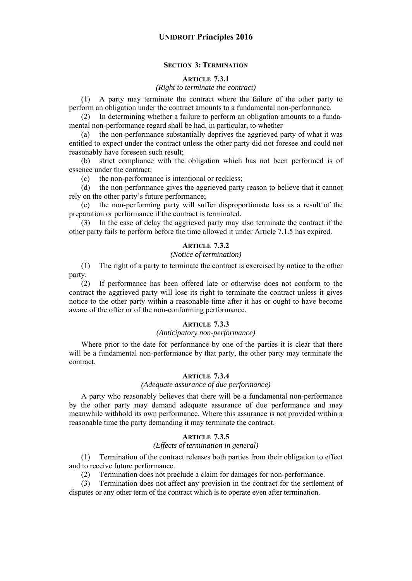# **SECTION 3: TERMINATION**

## **ARTICLE 7.3.1**

### *(Right to terminate the contract)*

(1) A party may terminate the contract where the failure of the other party to perform an obligation under the contract amounts to a fundamental non-performance.

(2) In determining whether a failure to perform an obligation amounts to a fundamental non-performance regard shall be had, in particular, to whether

(a) the non-performance substantially deprives the aggrieved party of what it was entitled to expect under the contract unless the other party did not foresee and could not reasonably have foreseen such result;

(b) strict compliance with the obligation which has not been performed is of essence under the contract;

(c) the non-performance is intentional or reckless;

(d) the non-performance gives the aggrieved party reason to believe that it cannot rely on the other party's future performance;

(e) the non-performing party will suffer disproportionate loss as a result of the preparation or performance if the contract is terminated.

(3) In the case of delay the aggrieved party may also terminate the contract if the other party fails to perform before the time allowed it under Article 7.1.5 has expired.

## **ARTICLE 7.3.2**

## *(Notice of termination)*

(1) The right of a party to terminate the contract is exercised by notice to the other party.

(2) If performance has been offered late or otherwise does not conform to the contract the aggrieved party will lose its right to terminate the contract unless it gives notice to the other party within a reasonable time after it has or ought to have become aware of the offer or of the non-conforming performance.

# **ARTICLE 7.3.3**

## *(Anticipatory non-performance)*

Where prior to the date for performance by one of the parties it is clear that there will be a fundamental non-performance by that party, the other party may terminate the contract.

## **ARTICLE 7.3.4**

#### *(Adequate assurance of due performance)*

A party who reasonably believes that there will be a fundamental non-performance by the other party may demand adequate assurance of due performance and may meanwhile withhold its own performance. Where this assurance is not provided within a reasonable time the party demanding it may terminate the contract.

## **ARTICLE 7.3.5**

## *(Effects of termination in general)*

(1) Termination of the contract releases both parties from their obligation to effect and to receive future performance.

(2) Termination does not preclude a claim for damages for non-performance.

(3) Termination does not affect any provision in the contract for the settlement of disputes or any other term of the contract which is to operate even after termination.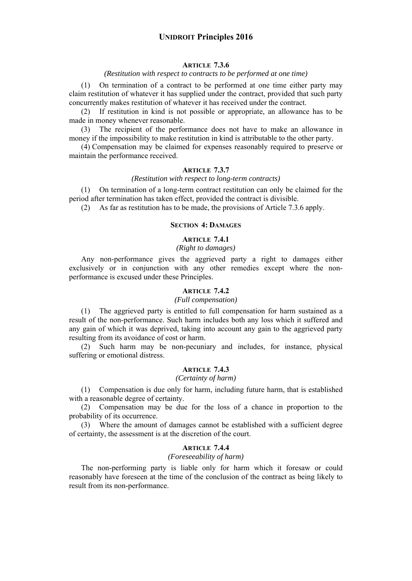# **ARTICLE 7.3.6**

#### *(Restitution with respect to contracts to be performed at one time)*

(1) On termination of a contract to be performed at one time either party may claim restitution of whatever it has supplied under the contract, provided that such party concurrently makes restitution of whatever it has received under the contract.

(2) If restitution in kind is not possible or appropriate, an allowance has to be made in money whenever reasonable.

(3) The recipient of the performance does not have to make an allowance in money if the impossibility to make restitution in kind is attributable to the other party.

(4) Compensation may be claimed for expenses reasonably required to preserve or maintain the performance received.

### **ARTICLE 7.3.7**

# *(Restitution with respect to long-term contracts)*

(1) On termination of a long-term contract restitution can only be claimed for the period after termination has taken effect, provided the contract is divisible.

(2) As far as restitution has to be made, the provisions of Article 7.3.6 apply.

### **SECTION 4: DAMAGES**

# **ARTICLE 7.4.1**

### *(Right to damages)*

Any non-performance gives the aggrieved party a right to damages either exclusively or in conjunction with any other remedies except where the nonperformance is excused under these Principles.

# **ARTICLE 7.4.2**

#### *(Full compensation)*

(1) The aggrieved party is entitled to full compensation for harm sustained as a result of the non-performance. Such harm includes both any loss which it suffered and any gain of which it was deprived, taking into account any gain to the aggrieved party resulting from its avoidance of cost or harm.

(2) Such harm may be non-pecuniary and includes, for instance, physical suffering or emotional distress.

## **ARTICLE 7.4.3**

### *(Certainty of harm)*

(1) Compensation is due only for harm, including future harm, that is established with a reasonable degree of certainty.

(2) Compensation may be due for the loss of a chance in proportion to the probability of its occurrence.

(3) Where the amount of damages cannot be established with a sufficient degree of certainty, the assessment is at the discretion of the court.

# **ARTICLE 7.4.4**

### *(Foreseeability of harm)*

The non-performing party is liable only for harm which it foresaw or could reasonably have foreseen at the time of the conclusion of the contract as being likely to result from its non-performance.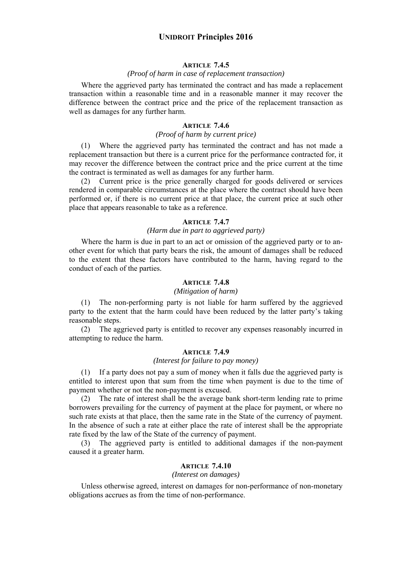## **ARTICLE 7.4.5**

### *(Proof of harm in case of replacement transaction)*

Where the aggrieved party has terminated the contract and has made a replacement transaction within a reasonable time and in a reasonable manner it may recover the difference between the contract price and the price of the replacement transaction as well as damages for any further harm.

## **ARTICLE 7.4.6**

# *(Proof of harm by current price)*

(1) Where the aggrieved party has terminated the contract and has not made a replacement transaction but there is a current price for the performance contracted for, it may recover the difference between the contract price and the price current at the time the contract is terminated as well as damages for any further harm.

(2) Current price is the price generally charged for goods delivered or services rendered in comparable circumstances at the place where the contract should have been performed or, if there is no current price at that place, the current price at such other place that appears reasonable to take as a reference.

## **ARTICLE 7.4.7**

## *(Harm due in part to aggrieved party)*

Where the harm is due in part to an act or omission of the aggrieved party or to another event for which that party bears the risk, the amount of damages shall be reduced to the extent that these factors have contributed to the harm, having regard to the conduct of each of the parties.

# **ARTICLE 7.4.8**

### *(Mitigation of harm)*

(1) The non-performing party is not liable for harm suffered by the aggrieved party to the extent that the harm could have been reduced by the latter party's taking reasonable steps.

(2) The aggrieved party is entitled to recover any expenses reasonably incurred in attempting to reduce the harm.

### **ARTICLE 7.4.9**

#### *(Interest for failure to pay money)*

(1) If a party does not pay a sum of money when it falls due the aggrieved party is entitled to interest upon that sum from the time when payment is due to the time of payment whether or not the non-payment is excused.

(2) The rate of interest shall be the average bank short-term lending rate to prime borrowers prevailing for the currency of payment at the place for payment, or where no such rate exists at that place, then the same rate in the State of the currency of payment. In the absence of such a rate at either place the rate of interest shall be the appropriate rate fixed by the law of the State of the currency of payment.

(3) The aggrieved party is entitled to additional damages if the non-payment caused it a greater harm.

# **ARTICLE 7.4.10**

## *(Interest on damages)*

Unless otherwise agreed, interest on damages for non-performance of non-monetary obligations accrues as from the time of non-performance.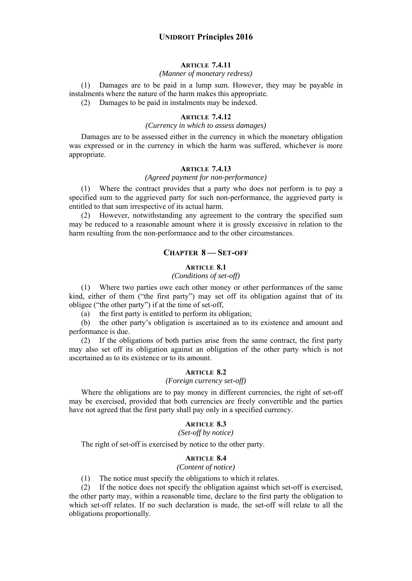# **ARTICLE 7.4.11**

## *(Manner of monetary redress)*

(1) Damages are to be paid in a lump sum. However, they may be payable in instalments where the nature of the harm makes this appropriate.

(2) Damages to be paid in instalments may be indexed.

# **ARTICLE 7.4.12**

# *(Currency in which to assess damages)*

Damages are to be assessed either in the currency in which the monetary obligation was expressed or in the currency in which the harm was suffered, whichever is more appropriate.

#### **ARTICLE 7.4.13**

### *(Agreed payment for non-performance)*

(1) Where the contract provides that a party who does not perform is to pay a specified sum to the aggrieved party for such non-performance, the aggrieved party is entitled to that sum irrespective of its actual harm.

(2) However, notwithstanding any agreement to the contrary the specified sum may be reduced to a reasonable amount where it is grossly excessive in relation to the harm resulting from the non-performance and to the other circumstances.

## **CHAPTER 8 — SET-OFF**

# **ARTICLE 8.1**

*(Conditions of set-off)* 

(1) Where two parties owe each other money or other performances of the same kind, either of them ("the first party") may set off its obligation against that of its obligee ("the other party") if at the time of set-off,

(a) the first party is entitled to perform its obligation;

(b) the other party's obligation is ascertained as to its existence and amount and performance is due.

(2) If the obligations of both parties arise from the same contract, the first party may also set off its obligation against an obligation of the other party which is not ascertained as to its existence or to its amount.

# **ARTICLE 8.2**

### *(Foreign currency set-off)*

Where the obligations are to pay money in different currencies, the right of set-off may be exercised, provided that both currencies are freely convertible and the parties have not agreed that the first party shall pay only in a specified currency.

## **ARTICLE 8.3**

#### *(Set-off by notice)*

The right of set-off is exercised by notice to the other party.

#### **ARTICLE 8.4**

#### *(Content of notice)*

(1) The notice must specify the obligations to which it relates.

(2) If the notice does not specify the obligation against which set-off is exercised, the other party may, within a reasonable time, declare to the first party the obligation to which set-off relates. If no such declaration is made, the set-off will relate to all the obligations proportionally.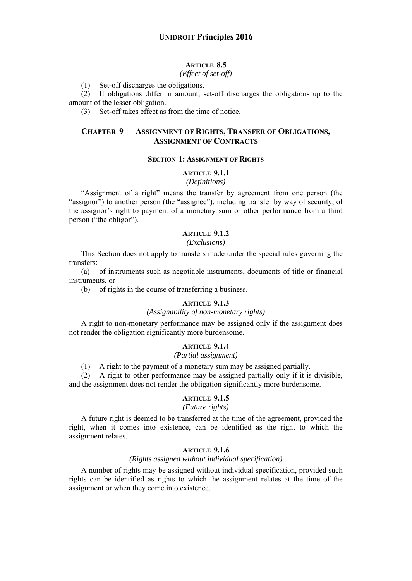# **ARTICLE 8.5**

*(Effect of set-off)* 

(1) Set-off discharges the obligations.

(2) If obligations differ in amount, set-off discharges the obligations up to the amount of the lesser obligation.

(3) Set-off takes effect as from the time of notice.

# **CHAPTER 9 — ASSIGNMENT OF RIGHTS, TRANSFER OF OBLIGATIONS, ASSIGNMENT OF CONTRACTS**

### **SECTION 1: ASSIGNMENT OF RIGHTS**

## **ARTICLE 9.1.1**

### *(Definitions)*

"Assignment of a right" means the transfer by agreement from one person (the "assignor") to another person (the "assignee"), including transfer by way of security, of the assignor's right to payment of a monetary sum or other performance from a third person ("the obligor").

# **ARTICLE 9.1.2**

## *(Exclusions)*

This Section does not apply to transfers made under the special rules governing the transfers:

(a) of instruments such as negotiable instruments, documents of title or financial instruments, or

(b) of rights in the course of transferring a business.

# **ARTICLE 9.1.3**

### *(Assignability of non-monetary rights)*

A right to non-monetary performance may be assigned only if the assignment does not render the obligation significantly more burdensome.

### **ARTICLE 9.1.4**

## *(Partial assignment)*

(1) A right to the payment of a monetary sum may be assigned partially.

(2) A right to other performance may be assigned partially only if it is divisible, and the assignment does not render the obligation significantly more burdensome.

# **ARTICLE 9.1.5**

# *(Future rights)*

A future right is deemed to be transferred at the time of the agreement, provided the right, when it comes into existence, can be identified as the right to which the assignment relates.

# **ARTICLE 9.1.6**

### *(Rights assigned without individual specification)*

A number of rights may be assigned without individual specification, provided such rights can be identified as rights to which the assignment relates at the time of the assignment or when they come into existence.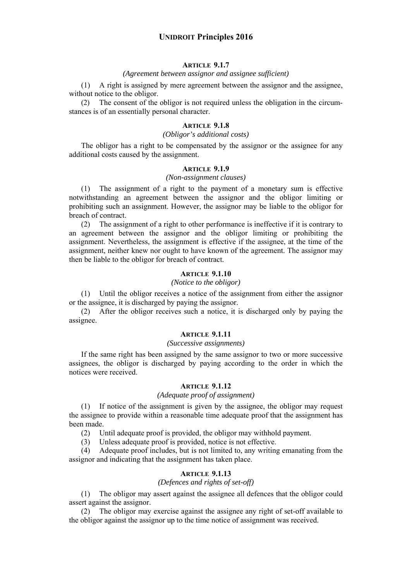## **ARTICLE 9.1.7**

### *(Agreement between assignor and assignee sufficient)*

(1) A right is assigned by mere agreement between the assignor and the assignee, without notice to the obligor.

(2) The consent of the obligor is not required unless the obligation in the circumstances is of an essentially personal character.

## **ARTICLE 9.1.8**

## *(Obligor's additional costs)*

The obligor has a right to be compensated by the assignor or the assignee for any additional costs caused by the assignment.

### **ARTICLE 9.1.9**

## *(Non-assignment clauses)*

(1) The assignment of a right to the payment of a monetary sum is effective notwithstanding an agreement between the assignor and the obligor limiting or prohibiting such an assignment. However, the assignor may be liable to the obligor for breach of contract.

(2) The assignment of a right to other performance is ineffective if it is contrary to an agreement between the assignor and the obligor limiting or prohibiting the assignment. Nevertheless, the assignment is effective if the assignee, at the time of the assignment, neither knew nor ought to have known of the agreement. The assignor may then be liable to the obligor for breach of contract.

## **ARTICLE 9.1.10**

*(Notice to the obligor)* 

(1) Until the obligor receives a notice of the assignment from either the assignor or the assignee, it is discharged by paying the assignor.

(2) After the obligor receives such a notice, it is discharged only by paying the assignee.

## **ARTICLE 9.1.11**

### *(Successive assignments)*

If the same right has been assigned by the same assignor to two or more successive assignees, the obligor is discharged by paying according to the order in which the notices were received.

### **ARTICLE 9.1.12**

## *(Adequate proof of assignment)*

(1) If notice of the assignment is given by the assignee, the obligor may request the assignee to provide within a reasonable time adequate proof that the assignment has been made.

(2) Until adequate proof is provided, the obligor may withhold payment.

(3) Unless adequate proof is provided, notice is not effective.

(4) Adequate proof includes, but is not limited to, any writing emanating from the assignor and indicating that the assignment has taken place.

## **ARTICLE 9.1.13**

### *(Defences and rights of set-off)*

(1) The obligor may assert against the assignee all defences that the obligor could assert against the assignor.

(2) The obligor may exercise against the assignee any right of set-off available to the obligor against the assignor up to the time notice of assignment was received.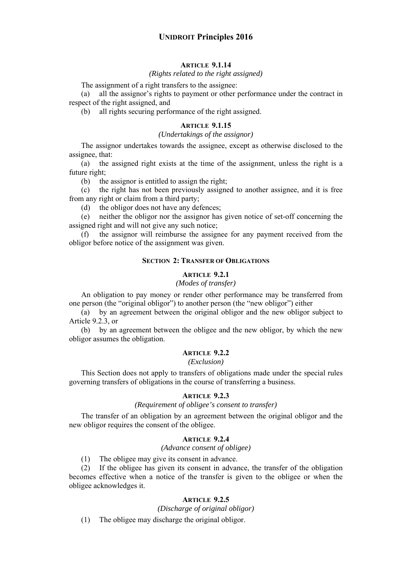# **ARTICLE 9.1.14**

### *(Rights related to the right assigned)*

The assignment of a right transfers to the assignee:

(a) all the assignor's rights to payment or other performance under the contract in respect of the right assigned, and

(b) all rights securing performance of the right assigned.

### **ARTICLE 9.1.15**

## *(Undertakings of the assignor)*

The assignor undertakes towards the assignee, except as otherwise disclosed to the assignee, that:

(a) the assigned right exists at the time of the assignment, unless the right is a future right;

(b) the assignor is entitled to assign the right;

(c) the right has not been previously assigned to another assignee, and it is free from any right or claim from a third party;

(d) the obligor does not have any defences;

(e) neither the obligor nor the assignor has given notice of set-off concerning the assigned right and will not give any such notice;

(f) the assignor will reimburse the assignee for any payment received from the obligor before notice of the assignment was given.

### **SECTION 2: TRANSFER OF OBLIGATIONS**

# **ARTICLE 9.2.1**

*(Modes of transfer)*

An obligation to pay money or render other performance may be transferred from one person (the "original obligor") to another person (the "new obligor") either

(a) by an agreement between the original obligor and the new obligor subject to Article 9.2.3, or

(b) by an agreement between the obligee and the new obligor, by which the new obligor assumes the obligation.

# **ARTICLE 9.2.2**

### *(Exclusion)*

This Section does not apply to transfers of obligations made under the special rules governing transfers of obligations in the course of transferring a business.

# **ARTICLE 9.2.3**

### *(Requirement of obligee's consent to transfer)*

The transfer of an obligation by an agreement between the original obligor and the new obligor requires the consent of the obligee.

### **ARTICLE 9.2.4**

## *(Advance consent of obligee)*

(1) The obligee may give its consent in advance.

(2) If the obligee has given its consent in advance, the transfer of the obligation becomes effective when a notice of the transfer is given to the obligee or when the obligee acknowledges it.

## **ARTICLE 9.2.5**

### *(Discharge of original obligor)*

(1) The obligee may discharge the original obligor.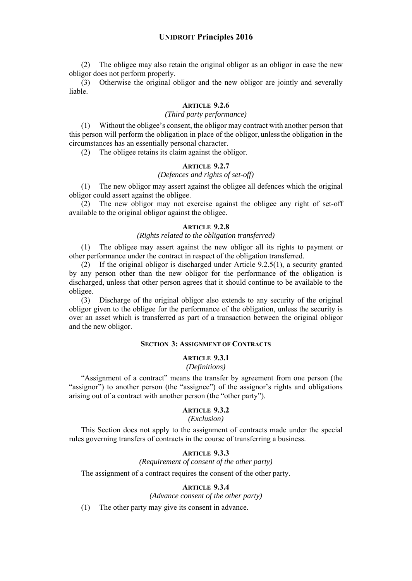(2) The obligee may also retain the original obligor as an obligor in case the new obligor does not perform properly.

(3) Otherwise the original obligor and the new obligor are jointly and severally liable.

## **ARTICLE 9.2.6**

## *(Third party performance)*

(1) Without the obligee's consent, the obligor may contract with another person that this person will perform the obligation in place of the obligor, unless the obligation in the circumstances has an essentially personal character.

(2) The obligee retains its claim against the obligor.

# **ARTICLE 9.2.7**

### *(Defences and rights of set-off)*

(1) The new obligor may assert against the obligee all defences which the original obligor could assert against the obligee.

(2) The new obligor may not exercise against the obligee any right of set-off available to the original obligor against the obligee.

## **ARTICLE 9.2.8**

### *(Rights related to the obligation transferred)*

(1) The obligee may assert against the new obligor all its rights to payment or other performance under the contract in respect of the obligation transferred.

 $(2)$  If the original obligor is discharged under Article 9.2.5(1), a security granted by any person other than the new obligor for the performance of the obligation is discharged, unless that other person agrees that it should continue to be available to the obligee.

(3) Discharge of the original obligor also extends to any security of the original obligor given to the obligee for the performance of the obligation, unless the security is over an asset which is transferred as part of a transaction between the original obligor and the new obligor.

## **SECTION 3: ASSIGNMENT OF CONTRACTS**

# **ARTICLE 9.3.1**

# *(Definitions)*

"Assignment of a contract" means the transfer by agreement from one person (the "assignor") to another person (the "assignee") of the assignor's rights and obligations arising out of a contract with another person (the "other party").

## **ARTICLE 9.3.2**

### *(Exclusion)*

This Section does not apply to the assignment of contracts made under the special rules governing transfers of contracts in the course of transferring a business.

## **ARTICLE 9.3.3**

*(Requirement of consent of the other party)* 

The assignment of a contract requires the consent of the other party.

## **ARTICLE 9.3.4**

*(Advance consent of the other party)* 

(1) The other party may give its consent in advance.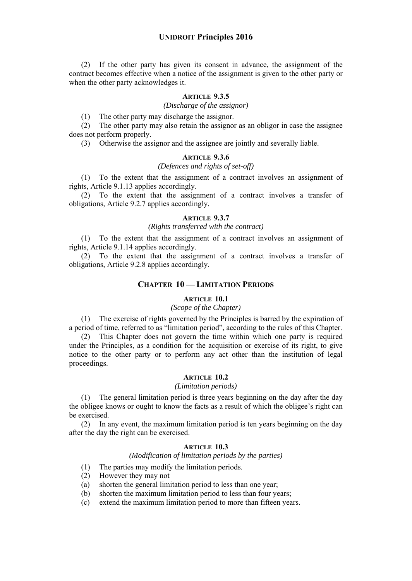(2) If the other party has given its consent in advance, the assignment of the contract becomes effective when a notice of the assignment is given to the other party or when the other party acknowledges it.

# **ARTICLE 9.3.5**

# *(Discharge of the assignor)*

(1) The other party may discharge the assignor.

(2) The other party may also retain the assignor as an obligor in case the assignee does not perform properly.

(3) Otherwise the assignor and the assignee are jointly and severally liable.

# **ARTICLE 9.3.6**

# *(Defences and rights of set-off)*

(1) To the extent that the assignment of a contract involves an assignment of rights, Article 9.1.13 applies accordingly.

(2) To the extent that the assignment of a contract involves a transfer of obligations, Article 9.2.7 applies accordingly.

# **ARTICLE 9.3.7**

### *(Rights transferred with the contract)*

(1) To the extent that the assignment of a contract involves an assignment of rights, Article 9.1.14 applies accordingly.

(2) To the extent that the assignment of a contract involves a transfer of obligations, Article 9.2.8 applies accordingly.

# **CHAPTER 10 — LIMITATION PERIODS**

# **ARTICLE 10.1**

## *(Scope of the Chapter)*

(1) The exercise of rights governed by the Principles is barred by the expiration of a period of time, referred to as "limitation period", according to the rules of this Chapter.

(2) This Chapter does not govern the time within which one party is required under the Principles, as a condition for the acquisition or exercise of its right, to give notice to the other party or to perform any act other than the institution of legal proceedings.

## **ARTICLE 10.2**

## *(Limitation periods)*

(1) The general limitation period is three years beginning on the day after the day the obligee knows or ought to know the facts as a result of which the obligee's right can be exercised.

(2) In any event, the maximum limitation period is ten years beginning on the day after the day the right can be exercised.

## **ARTICLE 10.3**

## *(Modification of limitation periods by the parties)*

- (1) The parties may modify the limitation periods.
- (2) However they may not
- (a) shorten the general limitation period to less than one year;
- (b) shorten the maximum limitation period to less than four years;
- (c) extend the maximum limitation period to more than fifteen years.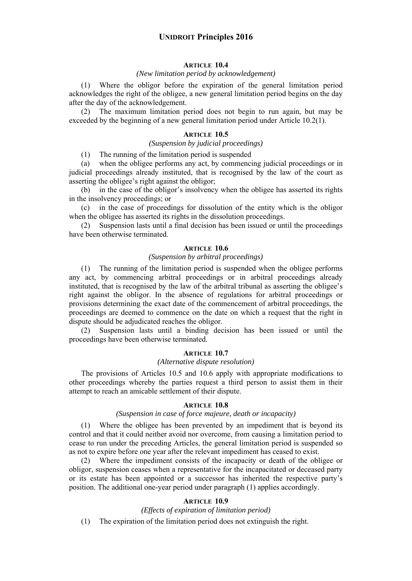# **ARTICLE 10.4**

#### *(New limitation period by acknowledgement)*

(1) Where the obligor before the expiration of the general limitation period acknowledges the right of the obligee, a new general limitation period begins on the day after the day of the acknowledgement.

(2) The maximum limitation period does not begin to run again, but may be exceeded by the beginning of a new general limitation period under Article 10.2(1).

# **ARTICLE 10.5**

# *(Suspension by judicial proceedings)*

(1) The running of the limitation period is suspended

(a) when the obligee performs any act, by commencing judicial proceedings or in judicial proceedings already instituted, that is recognised by the law of the court as asserting the obligee's right against the obligor;

(b) in the case of the obligor's insolvency when the obligee has asserted its rights in the insolvency proceedings; or

(c) in the case of proceedings for dissolution of the entity which is the obligor when the obligee has asserted its rights in the dissolution proceedings.

(2) Suspension lasts until a final decision has been issued or until the proceedings have been otherwise terminated.

## **ARTICLE 10.6**

### *(Suspension by arbitral proceedings)*

(1) The running of the limitation period is suspended when the obligee performs any act, by commencing arbitral proceedings or in arbitral proceedings already instituted, that is recognised by the law of the arbitral tribunal as asserting the obligee's right against the obligor. In the absence of regulations for arbitral proceedings or provisions determining the exact date of the commencement of arbitral proceedings, the proceedings are deemed to commence on the date on which a request that the right in dispute should be adjudicated reaches the obligor.

(2) Suspension lasts until a binding decision has been issued or until the proceedings have been otherwise terminated.

### **ARTICLE 10.7**

### *(Alternative dispute resolution)*

The provisions of Articles 10.5 and 10.6 apply with appropriate modifications to other proceedings whereby the parties request a third person to assist them in their attempt to reach an amicable settlement of their dispute.

## **ARTICLE 10.8**

### *(Suspension in case of force majeure, death or incapacity)*

(1) Where the obligee has been prevented by an impediment that is beyond its control and that it could neither avoid nor overcome, from causing a limitation period to cease to run under the preceding Articles, the general limitation period is suspended so as not to expire before one year after the relevant impediment has ceased to exist.

Where the impediment consists of the incapacity or death of the obligee or obligor, suspension ceases when a representative for the incapacitated or deceased party or its estate has been appointed or a successor has inherited the respective party's position. The additional one-year period under paragraph (1) applies accordingly.

### **ARTICLE 10.9**

#### *(Effects of expiration of limitation period)*

(1) The expiration of the limitation period does not extinguish the right.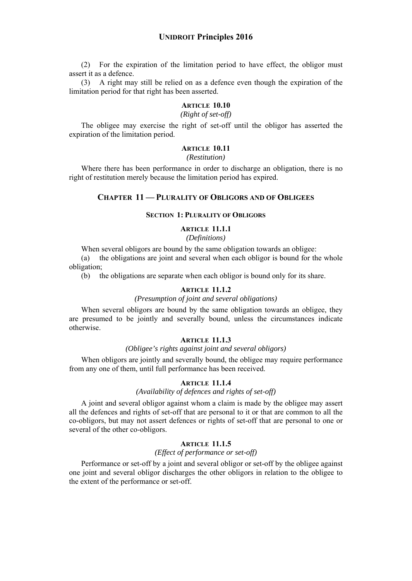(2) For the expiration of the limitation period to have effect, the obligor must assert it as a defence.

(3) A right may still be relied on as a defence even though the expiration of the limitation period for that right has been asserted.

### **ARTICLE 10.10**

*(Right of set-off)* 

The obligee may exercise the right of set-off until the obligor has asserted the expiration of the limitation period.

## **ARTICLE 10.11**

# *(Restitution)*

Where there has been performance in order to discharge an obligation, there is no right of restitution merely because the limitation period has expired.

#### **CHAPTER 11 — PLURALITY OF OBLIGORS AND OF OBLIGEES**

### **SECTION 1: PLURALITY OF OBLIGORS**

### **ARTICLE 11.1.1**

#### *(Definitions)*

When several obligors are bound by the same obligation towards an obligee:

(a) the obligations are joint and several when each obligor is bound for the whole obligation;

(b) the obligations are separate when each obligor is bound only for its share.

### **ARTICLE 11.1.2**

#### *(Presumption of joint and several obligations)*

When several obligors are bound by the same obligation towards an obligee, they are presumed to be jointly and severally bound, unless the circumstances indicate otherwise.

### **ARTICLE 11.1.3**

### *(Obligee's rights against joint and several obligors)*

When obligors are jointly and severally bound, the obligee may require performance from any one of them, until full performance has been received.

#### **ARTICLE 11.1.4**

## *(Availability of defences and rights of set-off)*

A joint and several obligor against whom a claim is made by the obligee may assert all the defences and rights of set-off that are personal to it or that are common to all the co-obligors, but may not assert defences or rights of set-off that are personal to one or several of the other co-obligors.

### **ARTICLE 11.1.5**

*(Effect of performance or set-off)* 

Performance or set-off by a joint and several obligor or set-off by the obligee against one joint and several obligor discharges the other obligors in relation to the obligee to the extent of the performance or set-off.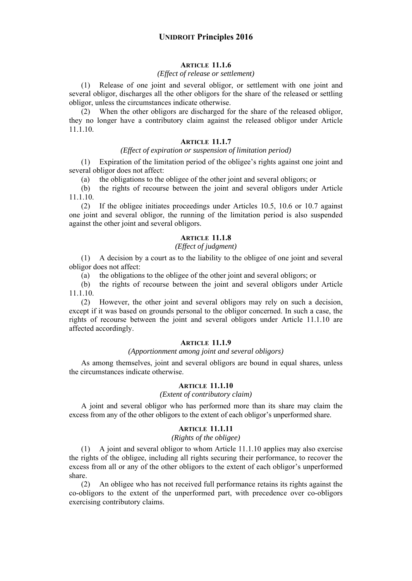# **ARTICLE 11.1.6**

## *(Effect of release or settlement)*

(1) Release of one joint and several obligor, or settlement with one joint and several obligor, discharges all the other obligors for the share of the released or settling obligor, unless the circumstances indicate otherwise.

(2) When the other obligors are discharged for the share of the released obligor, they no longer have a contributory claim against the released obligor under Article 11.1.10.

### **ARTICLE 11.1.7**

### *(Effect of expiration or suspension of limitation period)*

(1) Expiration of the limitation period of the obligee's rights against one joint and several obligor does not affect:

(a) the obligations to the obligee of the other joint and several obligors; or

(b) the rights of recourse between the joint and several obligors under Article 11.1.10.

(2) If the obligee initiates proceedings under Articles 10.5, 10.6 or 10.7 against one joint and several obligor, the running of the limitation period is also suspended against the other joint and several obligors.

### **ARTICLE 11.1.8**

### *(Effect of judgment)*

(1) A decision by a court as to the liability to the obligee of one joint and several obligor does not affect:

(a) the obligations to the obligee of the other joint and several obligors; or

(b) the rights of recourse between the joint and several obligors under Article 11.1.10.

(2) However, the other joint and several obligors may rely on such a decision, except if it was based on grounds personal to the obligor concerned. In such a case, the rights of recourse between the joint and several obligors under Article 11.1.10 are affected accordingly.

## **ARTICLE 11.1.9**

## *(Apportionment among joint and several obligors)*

As among themselves, joint and several obligors are bound in equal shares, unless the circumstances indicate otherwise.

### **ARTICLE 11.1.10**

# *(Extent of contributory claim)*

A joint and several obligor who has performed more than its share may claim the excess from any of the other obligors to the extent of each obligor's unperformed share.

### **ARTICLE 11.1.11**

#### *(Rights of the obligee)*

(1) A joint and several obligor to whom Article 11.1.10 applies may also exercise the rights of the obligee, including all rights securing their performance, to recover the excess from all or any of the other obligors to the extent of each obligor's unperformed share.

(2) An obligee who has not received full performance retains its rights against the co-obligors to the extent of the unperformed part, with precedence over co-obligors exercising contributory claims.